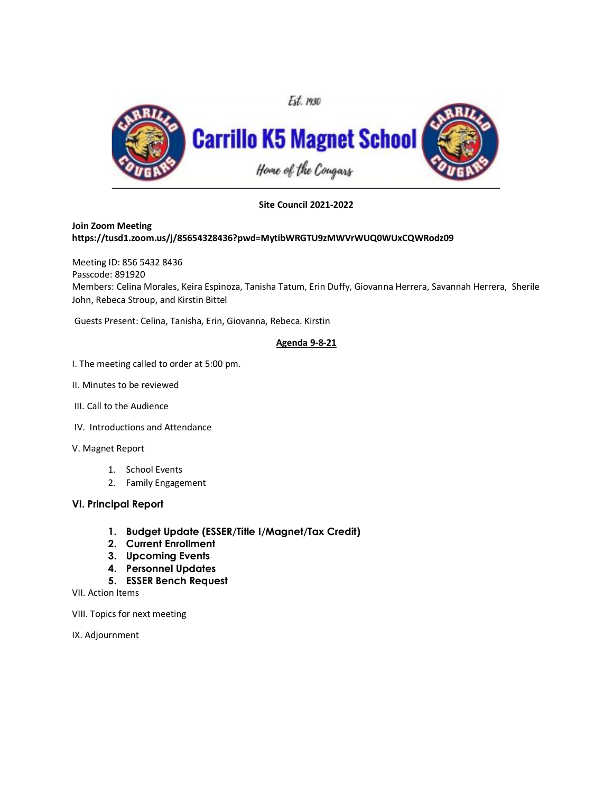

**Site Council 2021-2022**

## **Join Zoom Meeting https://tusd1.zoom.us/j/85654328436?pwd=MytibWRGTU9zMWVrWUQ0WUxCQWRodz09**

Meeting ID: 856 5432 8436 Passcode: 891920 Members: Celina Morales, Keira Espinoza, Tanisha Tatum, Erin Duffy, Giovanna Herrera, Savannah Herrera, Sherile John, Rebeca Stroup, and Kirstin Bittel

Guests Present: Celina, Tanisha, Erin, Giovanna, Rebeca. Kirstin

## **Agenda 9-8-21**

- I. The meeting called to order at 5:00 pm.
- II. Minutes to be reviewed
- III. Call to the Audience
- IV. Introductions and Attendance
- V. Magnet Report
	- 1. School Events
	- 2. Family Engagement

## **VI. Principal Report**

- **1. Budget Update (ESSER/Title I/Magnet/Tax Credit)**
- **2. Current Enrollment**
- **3. Upcoming Events**
- **4. Personnel Updates**
- **5. ESSER Bench Request**

VII. Action Items

VIII. Topics for next meeting

IX. Adjournment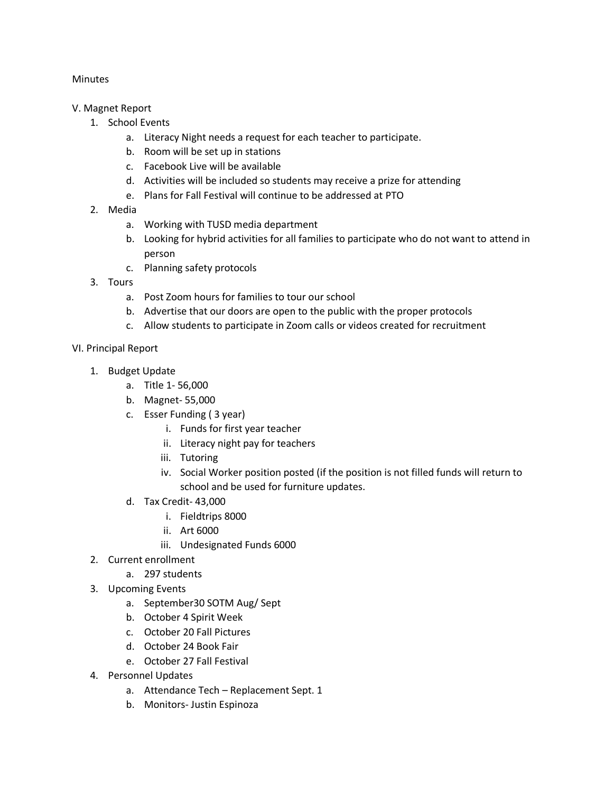## Minutes

- V. Magnet Report
	- 1. School Events
		- a. Literacy Night needs a request for each teacher to participate.
		- b. Room will be set up in stations
		- c. Facebook Live will be available
		- d. Activities will be included so students may receive a prize for attending
		- e. Plans for Fall Festival will continue to be addressed at PTO
	- 2. Media
		- a. Working with TUSD media department
		- b. Looking for hybrid activities for all families to participate who do not want to attend in person
		- c. Planning safety protocols
	- 3. Tours
		- a. Post Zoom hours for families to tour our school
		- b. Advertise that our doors are open to the public with the proper protocols
		- c. Allow students to participate in Zoom calls or videos created for recruitment
- VI. Principal Report
	- 1. Budget Update
		- a. Title 1- 56,000
		- b. Magnet- 55,000
		- c. Esser Funding ( 3 year)
			- i. Funds for first year teacher
			- ii. Literacy night pay for teachers
			- iii. Tutoring
			- iv. Social Worker position posted (if the position is not filled funds will return to school and be used for furniture updates.
		- d. Tax Credit- 43,000
			- i. Fieldtrips 8000
			- ii. Art 6000
			- iii. Undesignated Funds 6000
	- 2. Current enrollment
		- a. 297 students
	- 3. Upcoming Events
		- a. September30 SOTM Aug/ Sept
		- b. October 4 Spirit Week
		- c. October 20 Fall Pictures
		- d. October 24 Book Fair
		- e. October 27 Fall Festival
	- 4. Personnel Updates
		- a. Attendance Tech Replacement Sept. 1
		- b. Monitors- Justin Espinoza